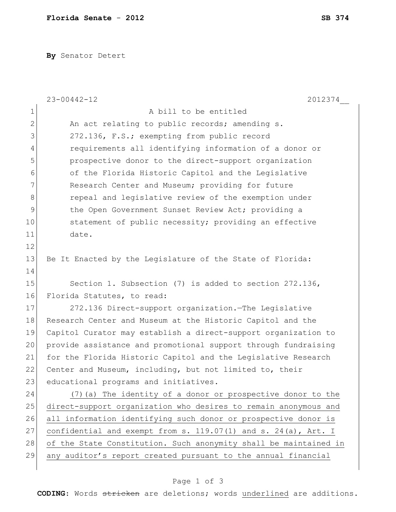**By** Senator Detert

|                | $23 - 00442 - 12$<br>2012374                                     |  |  |  |  |  |  |  |  |
|----------------|------------------------------------------------------------------|--|--|--|--|--|--|--|--|
| $\mathbf 1$    | A bill to be entitled                                            |  |  |  |  |  |  |  |  |
| $\overline{2}$ | An act relating to public records; amending s.                   |  |  |  |  |  |  |  |  |
| 3              | 272.136, F.S.; exempting from public record                      |  |  |  |  |  |  |  |  |
| $\overline{4}$ | requirements all identifying information of a donor or           |  |  |  |  |  |  |  |  |
| 5              | prospective donor to the direct-support organization             |  |  |  |  |  |  |  |  |
| 6              | of the Florida Historic Capitol and the Legislative              |  |  |  |  |  |  |  |  |
| 7              | Research Center and Museum; providing for future                 |  |  |  |  |  |  |  |  |
| 8              | repeal and legislative review of the exemption under             |  |  |  |  |  |  |  |  |
| $\mathcal{G}$  | the Open Government Sunset Review Act; providing a               |  |  |  |  |  |  |  |  |
| 10             | statement of public necessity; providing an effective            |  |  |  |  |  |  |  |  |
| 11             | date.                                                            |  |  |  |  |  |  |  |  |
| 12             |                                                                  |  |  |  |  |  |  |  |  |
| 13             | Be It Enacted by the Legislature of the State of Florida:        |  |  |  |  |  |  |  |  |
| 14             |                                                                  |  |  |  |  |  |  |  |  |
| 15             | Section 1. Subsection (7) is added to section 272.136,           |  |  |  |  |  |  |  |  |
| 16             | Florida Statutes, to read:                                       |  |  |  |  |  |  |  |  |
| 17             | 272.136 Direct-support organization. The Legislative             |  |  |  |  |  |  |  |  |
| 18             | Research Center and Museum at the Historic Capitol and the       |  |  |  |  |  |  |  |  |
| 19             | Capitol Curator may establish a direct-support organization to   |  |  |  |  |  |  |  |  |
| 20             | provide assistance and promotional support through fundraising   |  |  |  |  |  |  |  |  |
| 21             | for the Florida Historic Capitol and the Legislative Research    |  |  |  |  |  |  |  |  |
| 22             | Center and Museum, including, but not limited to, their          |  |  |  |  |  |  |  |  |
| 23             | educational programs and initiatives.                            |  |  |  |  |  |  |  |  |
| 24             | (7) (a) The identity of a donor or prospective donor to the      |  |  |  |  |  |  |  |  |
| 25             | direct-support organization who desires to remain anonymous and  |  |  |  |  |  |  |  |  |
| 26             | all information identifying such donor or prospective donor is   |  |  |  |  |  |  |  |  |
| 27             | confidential and exempt from s. 119.07(1) and s. 24(a), Art. I   |  |  |  |  |  |  |  |  |
| 28             | of the State Constitution. Such anonymity shall be maintained in |  |  |  |  |  |  |  |  |
| 29             | any auditor's report created pursuant to the annual financial    |  |  |  |  |  |  |  |  |
|                |                                                                  |  |  |  |  |  |  |  |  |

## Page 1 of 3

**CODING**: Words stricken are deletions; words underlined are additions.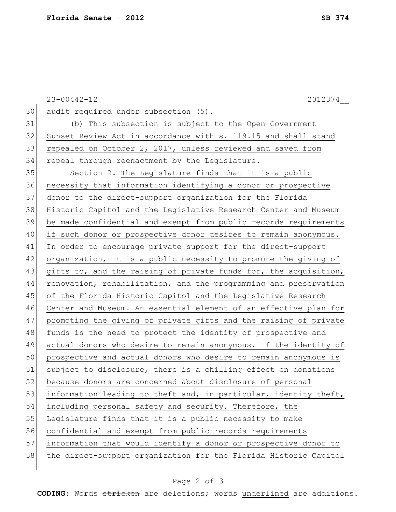|    | $23 - 00442 - 12$<br>2012374                                     |
|----|------------------------------------------------------------------|
| 30 | audit required under subsection (5).                             |
| 31 | (b) This subsection is subject to the Open Government            |
| 32 | Sunset Review Act in accordance with s. 119.15 and shall stand   |
| 33 | repealed on October 2, 2017, unless reviewed and saved from      |
| 34 | repeal through reenactment by the Legislature.                   |
| 35 | Section 2. The Legislature finds that it is a public             |
| 36 | necessity that information identifying a donor or prospective    |
| 37 | donor to the direct-support organization for the Florida         |
| 38 | Historic Capitol and the Legislative Research Center and Museum  |
| 39 | be made confidential and exempt from public records requirements |
| 40 | if such donor or prospective donor desires to remain anonymous.  |
| 41 | In order to encourage private support for the direct-support     |
| 42 | organization, it is a public necessity to promote the giving of  |
| 43 | gifts to, and the raising of private funds for, the acquisition, |
| 44 | renovation, rehabilitation, and the programming and preservation |
| 45 | of the Florida Historic Capitol and the Legislative Research     |
| 46 | Center and Museum. An essential element of an effective plan for |
| 47 | promoting the giving of private gifts and the raising of private |
| 48 | funds is the need to protect the identity of prospective and     |
| 49 | actual donors who desire to remain anonymous. If the identity of |
| 50 | prospective and actual donors who desire to remain anonymous is  |
| 51 | subject to disclosure, there is a chilling effect on donations   |
| 52 | because donors are concerned about disclosure of personal        |
| 53 | information leading to theft and, in particular, identity theft, |
| 54 | including personal safety and security. Therefore, the           |
| 55 | Legislature finds that it is a public necessity to make          |
| 56 | confidential and exempt from public records requirements         |
| 57 | information that would identify a donor or prospective donor to  |
| 58 | the direct-support organization for the Florida Historic Capitol |
|    |                                                                  |

**CODING**: Words stricken are deletions; words underlined are additions.